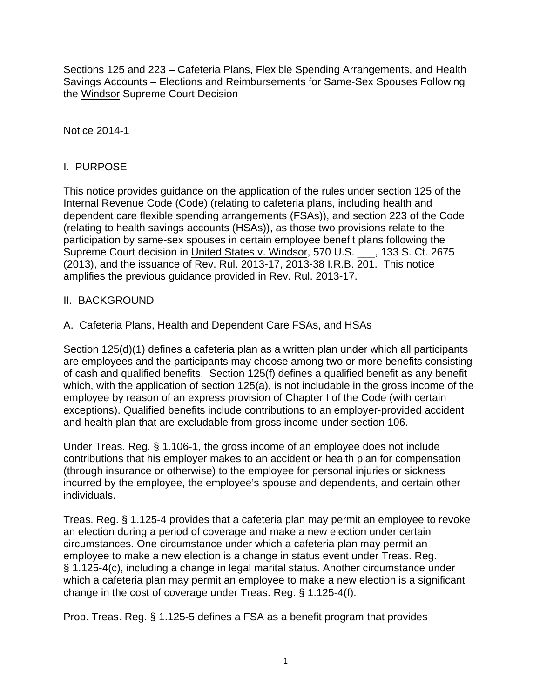Sections 125 and 223 – Cafeteria Plans, Flexible Spending Arrangements, and Health Savings Accounts – Elections and Reimbursements for Same-Sex Spouses Following the Windsor Supreme Court Decision

Notice 2014-1

## I. PURPOSE

This notice provides guidance on the application of the rules under section 125 of the Internal Revenue Code (Code) (relating to cafeteria plans, including health and dependent care flexible spending arrangements (FSAs)), and section 223 of the Code (relating to health savings accounts (HSAs)), as those two provisions relate to the participation by same-sex spouses in certain employee benefit plans following the Supreme Court decision in United States v. Windsor, 570 U.S. \_\_, 133 S. Ct. 2675 (2013), and the issuance of Rev. Rul. 2013-17, 2013-38 I.R.B. 201. This notice amplifies the previous guidance provided in Rev. Rul. 2013-17.

## II. BACKGROUND

A. Cafeteria Plans, Health and Dependent Care FSAs, and HSAs

Section 125(d)(1) defines a cafeteria plan as a written plan under which all participants are employees and the participants may choose among two or more benefits consisting of cash and qualified benefits. Section 125(f) defines a qualified benefit as any benefit which, with the application of section 125(a), is not includable in the gross income of the employee by reason of an express provision of Chapter I of the Code (with certain exceptions). Qualified benefits include contributions to an employer-provided accident and health plan that are excludable from gross income under section 106.

Under Treas. Reg. § 1.106-1, the gross income of an employee does not include contributions that his employer makes to an accident or health plan for compensation (through insurance or otherwise) to the employee for personal injuries or sickness incurred by the employee, the employee's spouse and dependents, and certain other individuals.

Treas. Reg. § 1.125-4 provides that a cafeteria plan may permit an employee to revoke an election during a period of coverage and make a new election under certain circumstances. One circumstance under which a cafeteria plan may permit an employee to make a new election is a change in status event under Treas. Reg. § 1.125-4(c), including a change in legal marital status. Another circumstance under which a cafeteria plan may permit an employee to make a new election is a significant change in the cost of coverage under Treas. Reg. § 1.125-4(f).

Prop. Treas. Reg. § 1.125-5 defines a FSA as a benefit program that provides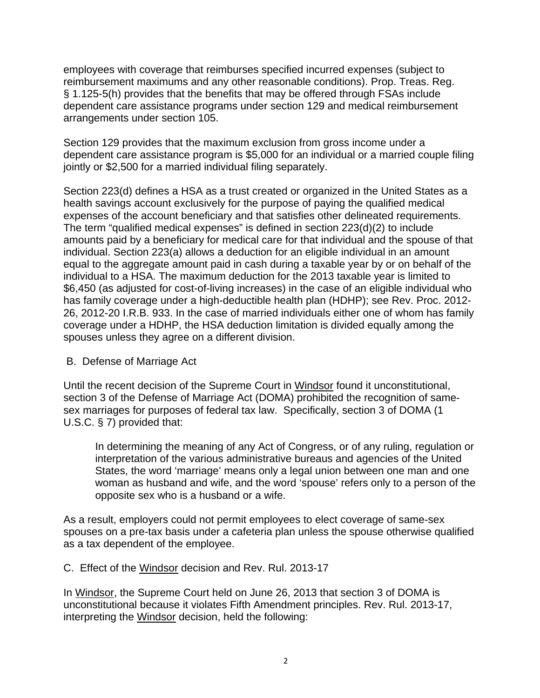employees with coverage that reimburses specified incurred expenses (subject to reimbursement maximums and any other reasonable conditions). Prop. Treas. Reg. § 1.125-5(h) provides that the benefits that may be offered through FSAs include dependent care assistance programs under section 129 and medical reimbursement arrangements under section 105.

Section 129 provides that the maximum exclusion from gross income under a dependent care assistance program is \$5,000 for an individual or a married couple filing jointly or \$2,500 for a married individual filing separately.

Section 223(d) defines a HSA as a trust created or organized in the United States as a health savings account exclusively for the purpose of paying the qualified medical expenses of the account beneficiary and that satisfies other delineated requirements. The term "qualified medical expenses" is defined in section 223(d)(2) to include amounts paid by a beneficiary for medical care for that individual and the spouse of that individual. Section 223(a) allows a deduction for an eligible individual in an amount equal to the aggregate amount paid in cash during a taxable year by or on behalf of the individual to a HSA. The maximum deduction for the 2013 taxable year is limited to \$6,450 (as adjusted for cost-of-living increases) in the case of an eligible individual who has family coverage under a high-deductible health plan (HDHP); see Rev. Proc. 2012- 26, 2012-20 I.R.B. 933. In the case of married individuals either one of whom has family coverage under a HDHP, the HSA deduction limitation is divided equally among the spouses unless they agree on a different division.

### B. Defense of Marriage Act

Until the recent decision of the Supreme Court in Windsor found it unconstitutional, section 3 of the Defense of Marriage Act (DOMA) prohibited the recognition of samesex marriages for purposes of federal tax law. Specifically, section 3 of DOMA (1 U.S.C. § 7) provided that:

In determining the meaning of any Act of Congress, or of any ruling, regulation or interpretation of the various administrative bureaus and agencies of the United States, the word 'marriage' means only a legal union between one man and one woman as husband and wife, and the word 'spouse' refers only to a person of the opposite sex who is a husband or a wife.

As a result, employers could not permit employees to elect coverage of same-sex spouses on a pre-tax basis under a cafeteria plan unless the spouse otherwise qualified as a tax dependent of the employee.

C. Effect of the Windsor decision and Rev. Rul. 2013-17

In Windsor, the Supreme Court held on June 26, 2013 that section 3 of DOMA is unconstitutional because it violates Fifth Amendment principles. Rev. Rul. 2013-17, interpreting the Windsor decision, held the following: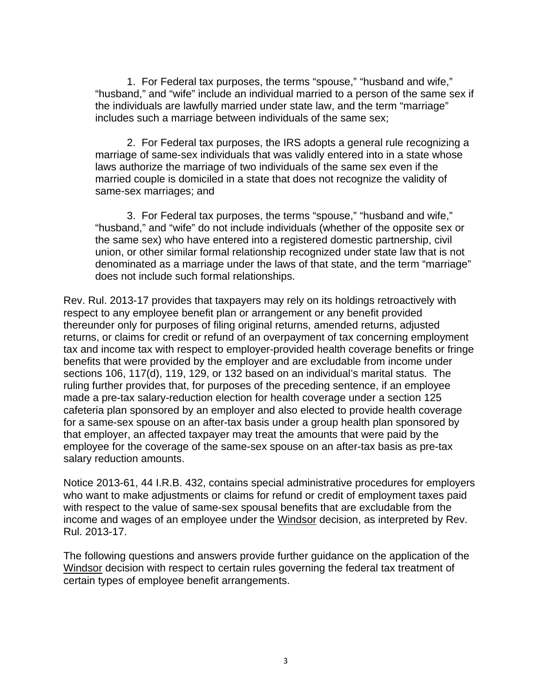1. For Federal tax purposes, the terms "spouse," "husband and wife," "husband," and "wife" include an individual married to a person of the same sex if the individuals are lawfully married under state law, and the term "marriage" includes such a marriage between individuals of the same sex;

2. For Federal tax purposes, the IRS adopts a general rule recognizing a marriage of same-sex individuals that was validly entered into in a state whose laws authorize the marriage of two individuals of the same sex even if the married couple is domiciled in a state that does not recognize the validity of same-sex marriages; and

 3. For Federal tax purposes, the terms "spouse," "husband and wife," "husband," and "wife" do not include individuals (whether of the opposite sex or the same sex) who have entered into a registered domestic partnership, civil union, or other similar formal relationship recognized under state law that is not denominated as a marriage under the laws of that state, and the term "marriage" does not include such formal relationships.

Rev. Rul. 2013-17 provides that taxpayers may rely on its holdings retroactively with respect to any employee benefit plan or arrangement or any benefit provided thereunder only for purposes of filing original returns, amended returns, adjusted returns, or claims for credit or refund of an overpayment of tax concerning employment tax and income tax with respect to employer-provided health coverage benefits or fringe benefits that were provided by the employer and are excludable from income under sections 106, 117(d), 119, 129, or 132 based on an individual's marital status. The ruling further provides that, for purposes of the preceding sentence, if an employee made a pre-tax salary-reduction election for health coverage under a section 125 cafeteria plan sponsored by an employer and also elected to provide health coverage for a same-sex spouse on an after-tax basis under a group health plan sponsored by that employer, an affected taxpayer may treat the amounts that were paid by the employee for the coverage of the same-sex spouse on an after-tax basis as pre-tax salary reduction amounts.

Notice 2013-61, 44 I.R.B. 432, contains special administrative procedures for employers who want to make adjustments or claims for refund or credit of employment taxes paid with respect to the value of same-sex spousal benefits that are excludable from the income and wages of an employee under the Windsor decision, as interpreted by Rev. Rul. 2013-17.

The following questions and answers provide further guidance on the application of the Windsor decision with respect to certain rules governing the federal tax treatment of certain types of employee benefit arrangements.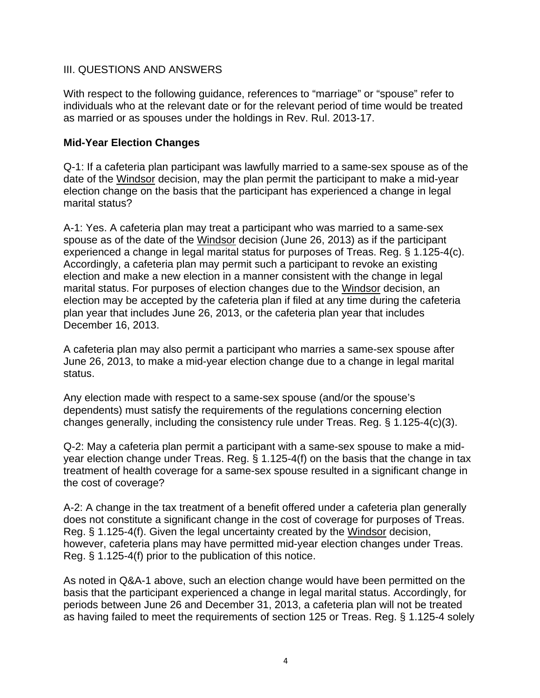### III. QUESTIONS AND ANSWERS

With respect to the following guidance, references to "marriage" or "spouse" refer to individuals who at the relevant date or for the relevant period of time would be treated as married or as spouses under the holdings in Rev. Rul. 2013-17.

### **Mid-Year Election Changes**

Q-1: If a cafeteria plan participant was lawfully married to a same-sex spouse as of the date of the Windsor decision, may the plan permit the participant to make a mid-year election change on the basis that the participant has experienced a change in legal marital status?

A-1: Yes. A cafeteria plan may treat a participant who was married to a same-sex spouse as of the date of the Windsor decision (June 26, 2013) as if the participant experienced a change in legal marital status for purposes of Treas. Reg. § 1.125-4(c). Accordingly, a cafeteria plan may permit such a participant to revoke an existing election and make a new election in a manner consistent with the change in legal marital status. For purposes of election changes due to the Windsor decision, an election may be accepted by the cafeteria plan if filed at any time during the cafeteria plan year that includes June 26, 2013, or the cafeteria plan year that includes December 16, 2013.

A cafeteria plan may also permit a participant who marries a same-sex spouse after June 26, 2013, to make a mid-year election change due to a change in legal marital status.

Any election made with respect to a same-sex spouse (and/or the spouse's dependents) must satisfy the requirements of the regulations concerning election changes generally, including the consistency rule under Treas. Reg. § 1.125-4(c)(3).

Q-2: May a cafeteria plan permit a participant with a same-sex spouse to make a midyear election change under Treas. Reg. § 1.125-4(f) on the basis that the change in tax treatment of health coverage for a same-sex spouse resulted in a significant change in the cost of coverage?

A-2: A change in the tax treatment of a benefit offered under a cafeteria plan generally does not constitute a significant change in the cost of coverage for purposes of Treas. Reg. § 1.125-4(f). Given the legal uncertainty created by the Windsor decision, however, cafeteria plans may have permitted mid-year election changes under Treas. Reg. § 1.125-4(f) prior to the publication of this notice.

As noted in Q&A-1 above, such an election change would have been permitted on the basis that the participant experienced a change in legal marital status. Accordingly, for periods between June 26 and December 31, 2013, a cafeteria plan will not be treated as having failed to meet the requirements of section 125 or Treas. Reg. § 1.125-4 solely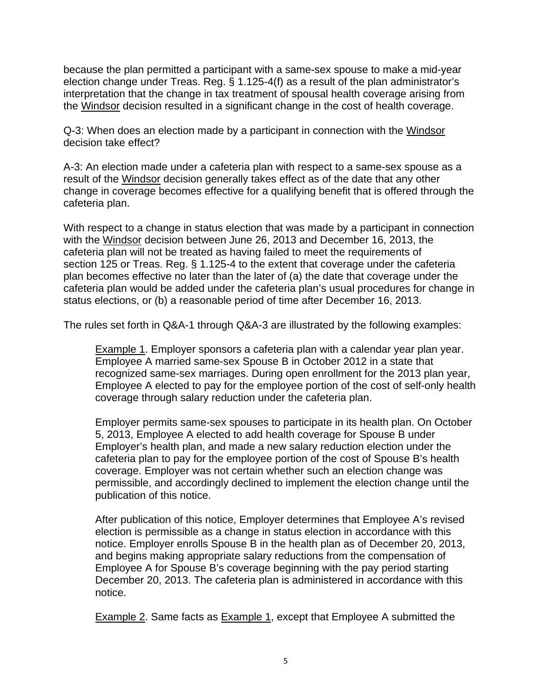because the plan permitted a participant with a same-sex spouse to make a mid-year election change under Treas. Reg. § 1.125-4(f) as a result of the plan administrator's interpretation that the change in tax treatment of spousal health coverage arising from the Windsor decision resulted in a significant change in the cost of health coverage.

Q-3: When does an election made by a participant in connection with the Windsor decision take effect?

A-3: An election made under a cafeteria plan with respect to a same-sex spouse as a result of the Windsor decision generally takes effect as of the date that any other change in coverage becomes effective for a qualifying benefit that is offered through the cafeteria plan.

With respect to a change in status election that was made by a participant in connection with the Windsor decision between June 26, 2013 and December 16, 2013, the cafeteria plan will not be treated as having failed to meet the requirements of section 125 or Treas. Reg. § 1.125-4 to the extent that coverage under the cafeteria plan becomes effective no later than the later of (a) the date that coverage under the cafeteria plan would be added under the cafeteria plan's usual procedures for change in status elections, or (b) a reasonable period of time after December 16, 2013.

The rules set forth in Q&A-1 through Q&A-3 are illustrated by the following examples:

Example 1. Employer sponsors a cafeteria plan with a calendar year plan year. Employee A married same-sex Spouse B in October 2012 in a state that recognized same-sex marriages. During open enrollment for the 2013 plan year, Employee A elected to pay for the employee portion of the cost of self-only health coverage through salary reduction under the cafeteria plan.

Employer permits same-sex spouses to participate in its health plan. On October 5, 2013, Employee A elected to add health coverage for Spouse B under Employer's health plan, and made a new salary reduction election under the cafeteria plan to pay for the employee portion of the cost of Spouse B's health coverage. Employer was not certain whether such an election change was permissible, and accordingly declined to implement the election change until the publication of this notice.

After publication of this notice, Employer determines that Employee A's revised election is permissible as a change in status election in accordance with this notice. Employer enrolls Spouse B in the health plan as of December 20, 2013, and begins making appropriate salary reductions from the compensation of Employee A for Spouse B's coverage beginning with the pay period starting December 20, 2013. The cafeteria plan is administered in accordance with this notice.

**Example 2.** Same facts as **Example 1**, except that Employee A submitted the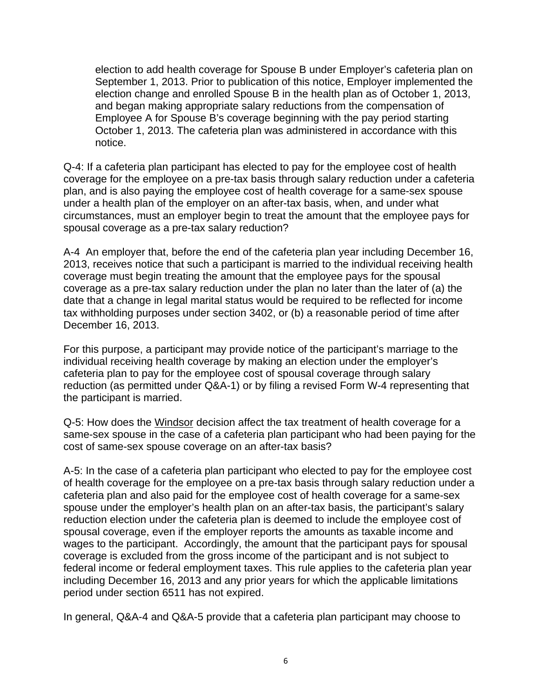election to add health coverage for Spouse B under Employer's cafeteria plan on September 1, 2013. Prior to publication of this notice, Employer implemented the election change and enrolled Spouse B in the health plan as of October 1, 2013, and began making appropriate salary reductions from the compensation of Employee A for Spouse B's coverage beginning with the pay period starting October 1, 2013. The cafeteria plan was administered in accordance with this notice.

Q-4: If a cafeteria plan participant has elected to pay for the employee cost of health coverage for the employee on a pre-tax basis through salary reduction under a cafeteria plan, and is also paying the employee cost of health coverage for a same-sex spouse under a health plan of the employer on an after-tax basis, when, and under what circumstances, must an employer begin to treat the amount that the employee pays for spousal coverage as a pre-tax salary reduction?

A-4 An employer that, before the end of the cafeteria plan year including December 16, 2013, receives notice that such a participant is married to the individual receiving health coverage must begin treating the amount that the employee pays for the spousal coverage as a pre-tax salary reduction under the plan no later than the later of (a) the date that a change in legal marital status would be required to be reflected for income tax withholding purposes under section 3402, or (b) a reasonable period of time after December 16, 2013.

For this purpose, a participant may provide notice of the participant's marriage to the individual receiving health coverage by making an election under the employer's cafeteria plan to pay for the employee cost of spousal coverage through salary reduction (as permitted under Q&A-1) or by filing a revised Form W-4 representing that the participant is married.

Q-5: How does the Windsor decision affect the tax treatment of health coverage for a same-sex spouse in the case of a cafeteria plan participant who had been paying for the cost of same-sex spouse coverage on an after-tax basis?

A-5: In the case of a cafeteria plan participant who elected to pay for the employee cost of health coverage for the employee on a pre-tax basis through salary reduction under a cafeteria plan and also paid for the employee cost of health coverage for a same-sex spouse under the employer's health plan on an after-tax basis, the participant's salary reduction election under the cafeteria plan is deemed to include the employee cost of spousal coverage, even if the employer reports the amounts as taxable income and wages to the participant. Accordingly, the amount that the participant pays for spousal coverage is excluded from the gross income of the participant and is not subject to federal income or federal employment taxes. This rule applies to the cafeteria plan year including December 16, 2013 and any prior years for which the applicable limitations period under section 6511 has not expired.

In general, Q&A-4 and Q&A-5 provide that a cafeteria plan participant may choose to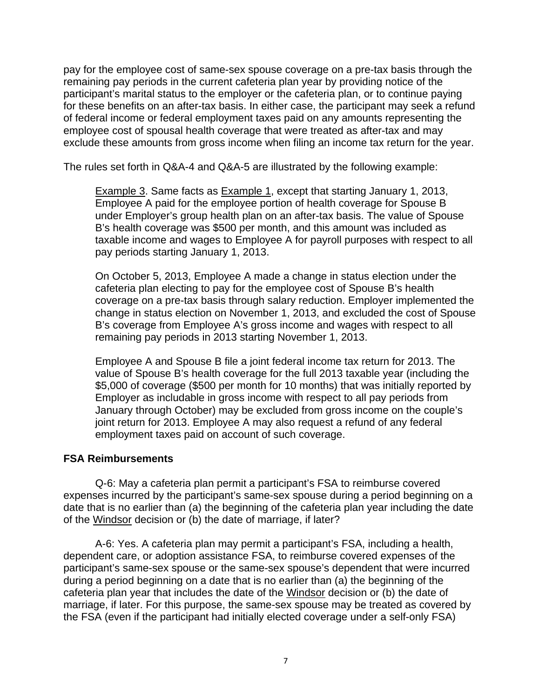pay for the employee cost of same-sex spouse coverage on a pre-tax basis through the remaining pay periods in the current cafeteria plan year by providing notice of the participant's marital status to the employer or the cafeteria plan, or to continue paying for these benefits on an after-tax basis. In either case, the participant may seek a refund of federal income or federal employment taxes paid on any amounts representing the employee cost of spousal health coverage that were treated as after-tax and may exclude these amounts from gross income when filing an income tax return for the year.

The rules set forth in Q&A-4 and Q&A-5 are illustrated by the following example:

**Example 3. Same facts as Example 1, except that starting January 1, 2013,** Employee A paid for the employee portion of health coverage for Spouse B under Employer's group health plan on an after-tax basis. The value of Spouse B's health coverage was \$500 per month, and this amount was included as taxable income and wages to Employee A for payroll purposes with respect to all pay periods starting January 1, 2013.

On October 5, 2013, Employee A made a change in status election under the cafeteria plan electing to pay for the employee cost of Spouse B's health coverage on a pre-tax basis through salary reduction. Employer implemented the change in status election on November 1, 2013, and excluded the cost of Spouse B's coverage from Employee A's gross income and wages with respect to all remaining pay periods in 2013 starting November 1, 2013.

Employee A and Spouse B file a joint federal income tax return for 2013. The value of Spouse B's health coverage for the full 2013 taxable year (including the \$5,000 of coverage (\$500 per month for 10 months) that was initially reported by Employer as includable in gross income with respect to all pay periods from January through October) may be excluded from gross income on the couple's joint return for 2013. Employee A may also request a refund of any federal employment taxes paid on account of such coverage.

### **FSA Reimbursements**

Q-6: May a cafeteria plan permit a participant's FSA to reimburse covered expenses incurred by the participant's same-sex spouse during a period beginning on a date that is no earlier than (a) the beginning of the cafeteria plan year including the date of the Windsor decision or (b) the date of marriage, if later?

A-6: Yes. A cafeteria plan may permit a participant's FSA, including a health, dependent care, or adoption assistance FSA, to reimburse covered expenses of the participant's same-sex spouse or the same-sex spouse's dependent that were incurred during a period beginning on a date that is no earlier than (a) the beginning of the cafeteria plan year that includes the date of the Windsor decision or (b) the date of marriage, if later. For this purpose, the same-sex spouse may be treated as covered by the FSA (even if the participant had initially elected coverage under a self-only FSA)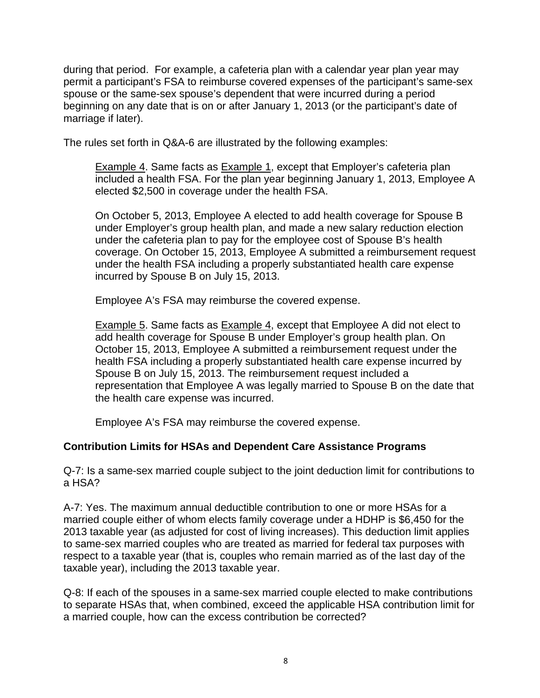during that period. For example, a cafeteria plan with a calendar year plan year may permit a participant's FSA to reimburse covered expenses of the participant's same-sex spouse or the same-sex spouse's dependent that were incurred during a period beginning on any date that is on or after January 1, 2013 (or the participant's date of marriage if later).

The rules set forth in Q&A-6 are illustrated by the following examples:

Example 4. Same facts as Example 1, except that Employer's cafeteria plan included a health FSA. For the plan year beginning January 1, 2013, Employee A elected \$2,500 in coverage under the health FSA.

On October 5, 2013, Employee A elected to add health coverage for Spouse B under Employer's group health plan, and made a new salary reduction election under the cafeteria plan to pay for the employee cost of Spouse B's health coverage. On October 15, 2013, Employee A submitted a reimbursement request under the health FSA including a properly substantiated health care expense incurred by Spouse B on July 15, 2013.

Employee A's FSA may reimburse the covered expense.

Example 5. Same facts as Example 4, except that Employee A did not elect to add health coverage for Spouse B under Employer's group health plan. On October 15, 2013, Employee A submitted a reimbursement request under the health FSA including a properly substantiated health care expense incurred by Spouse B on July 15, 2013. The reimbursement request included a representation that Employee A was legally married to Spouse B on the date that the health care expense was incurred.

Employee A's FSA may reimburse the covered expense.

# **Contribution Limits for HSAs and Dependent Care Assistance Programs**

Q-7: Is a same-sex married couple subject to the joint deduction limit for contributions to a HSA?

A-7: Yes. The maximum annual deductible contribution to one or more HSAs for a married couple either of whom elects family coverage under a HDHP is \$6,450 for the 2013 taxable year (as adjusted for cost of living increases). This deduction limit applies to same-sex married couples who are treated as married for federal tax purposes with respect to a taxable year (that is, couples who remain married as of the last day of the taxable year), including the 2013 taxable year.

Q-8: If each of the spouses in a same-sex married couple elected to make contributions to separate HSAs that, when combined, exceed the applicable HSA contribution limit for a married couple, how can the excess contribution be corrected?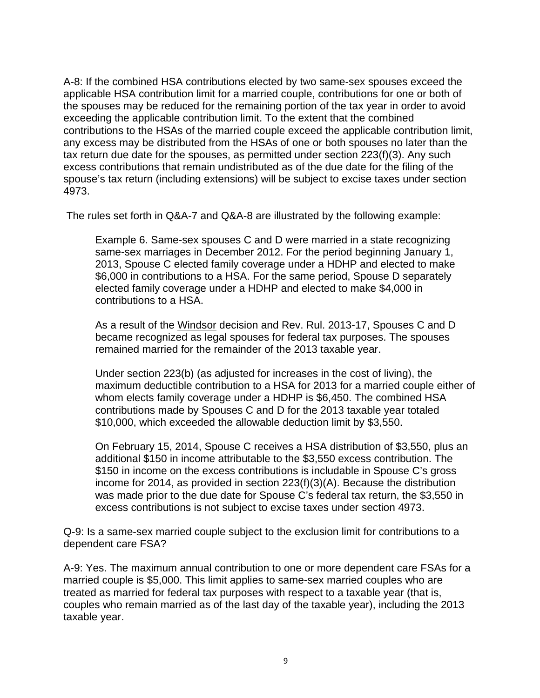A-8: If the combined HSA contributions elected by two same-sex spouses exceed the applicable HSA contribution limit for a married couple, contributions for one or both of the spouses may be reduced for the remaining portion of the tax year in order to avoid exceeding the applicable contribution limit. To the extent that the combined contributions to the HSAs of the married couple exceed the applicable contribution limit, any excess may be distributed from the HSAs of one or both spouses no later than the tax return due date for the spouses, as permitted under section 223(f)(3). Any such excess contributions that remain undistributed as of the due date for the filing of the spouse's tax return (including extensions) will be subject to excise taxes under section 4973.

The rules set forth in Q&A-7 and Q&A-8 are illustrated by the following example:

Example 6. Same-sex spouses C and D were married in a state recognizing same-sex marriages in December 2012. For the period beginning January 1, 2013, Spouse C elected family coverage under a HDHP and elected to make \$6,000 in contributions to a HSA. For the same period, Spouse D separately elected family coverage under a HDHP and elected to make \$4,000 in contributions to a HSA.

As a result of the Windsor decision and Rev. Rul. 2013-17, Spouses C and D became recognized as legal spouses for federal tax purposes. The spouses remained married for the remainder of the 2013 taxable year.

Under section 223(b) (as adjusted for increases in the cost of living), the maximum deductible contribution to a HSA for 2013 for a married couple either of whom elects family coverage under a HDHP is \$6,450. The combined HSA contributions made by Spouses C and D for the 2013 taxable year totaled \$10,000, which exceeded the allowable deduction limit by \$3,550.

On February 15, 2014, Spouse C receives a HSA distribution of \$3,550, plus an additional \$150 in income attributable to the \$3,550 excess contribution. The \$150 in income on the excess contributions is includable in Spouse C's gross income for 2014, as provided in section 223(f)(3)(A). Because the distribution was made prior to the due date for Spouse C's federal tax return, the \$3,550 in excess contributions is not subject to excise taxes under section 4973.

Q-9: Is a same-sex married couple subject to the exclusion limit for contributions to a dependent care FSA?

A-9: Yes. The maximum annual contribution to one or more dependent care FSAs for a married couple is \$5,000. This limit applies to same-sex married couples who are treated as married for federal tax purposes with respect to a taxable year (that is, couples who remain married as of the last day of the taxable year), including the 2013 taxable year.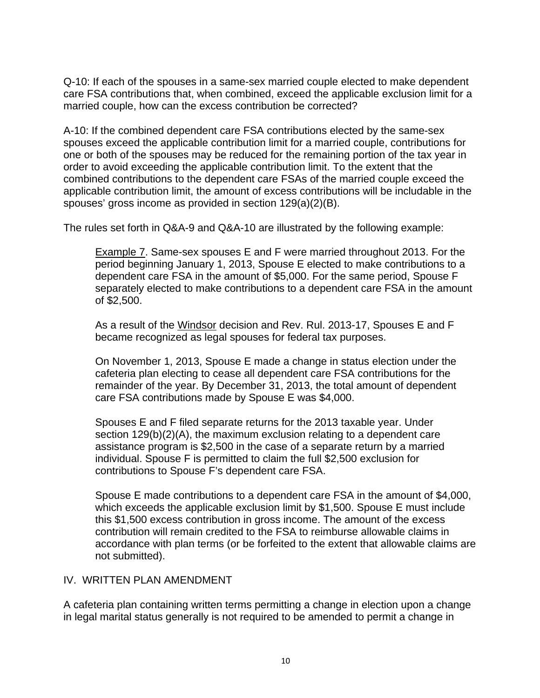Q-10: If each of the spouses in a same-sex married couple elected to make dependent care FSA contributions that, when combined, exceed the applicable exclusion limit for a married couple, how can the excess contribution be corrected?

A-10: If the combined dependent care FSA contributions elected by the same-sex spouses exceed the applicable contribution limit for a married couple, contributions for one or both of the spouses may be reduced for the remaining portion of the tax year in order to avoid exceeding the applicable contribution limit. To the extent that the combined contributions to the dependent care FSAs of the married couple exceed the applicable contribution limit, the amount of excess contributions will be includable in the spouses' gross income as provided in section 129(a)(2)(B).

The rules set forth in Q&A-9 and Q&A-10 are illustrated by the following example:

Example 7. Same-sex spouses E and F were married throughout 2013. For the period beginning January 1, 2013, Spouse E elected to make contributions to a dependent care FSA in the amount of \$5,000. For the same period, Spouse F separately elected to make contributions to a dependent care FSA in the amount of \$2,500.

As a result of the Windsor decision and Rev. Rul. 2013-17, Spouses E and F became recognized as legal spouses for federal tax purposes.

On November 1, 2013, Spouse E made a change in status election under the cafeteria plan electing to cease all dependent care FSA contributions for the remainder of the year. By December 31, 2013, the total amount of dependent care FSA contributions made by Spouse E was \$4,000.

Spouses E and F filed separate returns for the 2013 taxable year. Under section 129(b)(2)(A), the maximum exclusion relating to a dependent care assistance program is \$2,500 in the case of a separate return by a married individual. Spouse F is permitted to claim the full \$2,500 exclusion for contributions to Spouse F's dependent care FSA.

Spouse E made contributions to a dependent care FSA in the amount of \$4,000, which exceeds the applicable exclusion limit by \$1,500. Spouse E must include this \$1,500 excess contribution in gross income. The amount of the excess contribution will remain credited to the FSA to reimburse allowable claims in accordance with plan terms (or be forfeited to the extent that allowable claims are not submitted).

### IV. WRITTEN PLAN AMENDMENT

A cafeteria plan containing written terms permitting a change in election upon a change in legal marital status generally is not required to be amended to permit a change in